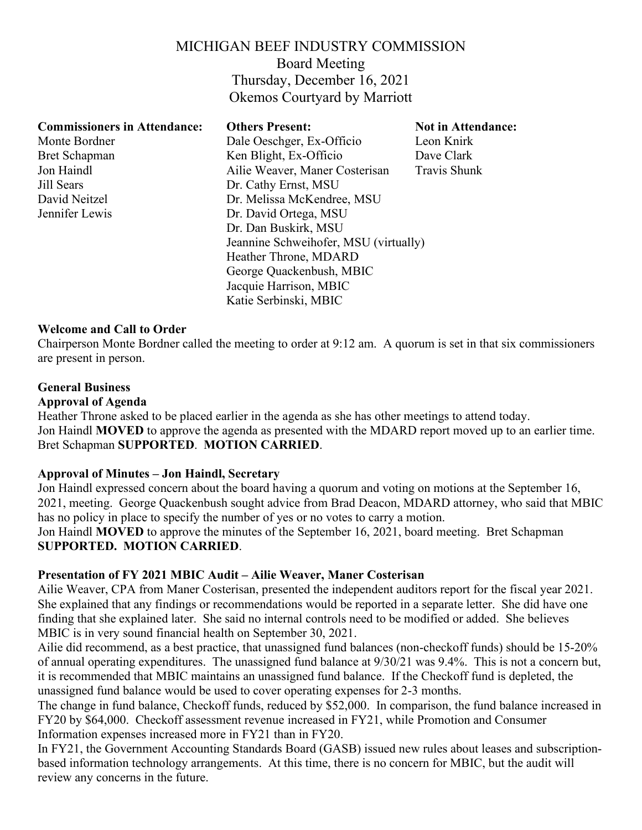# MICHIGAN BEEF INDUSTRY COMMISSION

Board Meeting Thursday, December 16, 2021 Okemos Courtyard by Marriott

| <b>Commissioners in Attendance:</b> | <b>Others Present:</b>                | <b>Not in Attendance:</b> |
|-------------------------------------|---------------------------------------|---------------------------|
| Monte Bordner                       | Dale Oeschger, Ex-Officio             | Leon Knirk                |
| Bret Schapman                       | Ken Blight, Ex-Officio                | Dave Clark                |
| Jon Haindl                          | Ailie Weaver, Maner Costerisan        | Travis Shunk              |
| Jill Sears                          | Dr. Cathy Ernst, MSU                  |                           |
| David Neitzel                       | Dr. Melissa McKendree, MSU            |                           |
| Jennifer Lewis                      | Dr. David Ortega, MSU                 |                           |
|                                     | Dr. Dan Buskirk, MSU                  |                           |
|                                     | Jeannine Schweihofer, MSU (virtually) |                           |
|                                     | Heather Throne, MDARD                 |                           |
|                                     | George Quackenbush, MBIC              |                           |
|                                     | Jacquie Harrison, MBIC                |                           |
|                                     | Katie Serbinski, MBIC                 |                           |

### **Welcome and Call to Order**

Chairperson Monte Bordner called the meeting to order at 9:12 am. A quorum is set in that six commissioners are present in person.

### **General Business**

#### **Approval of Agenda**

Heather Throne asked to be placed earlier in the agenda as she has other meetings to attend today. Jon Haindl **MOVED** to approve the agenda as presented with the MDARD report moved up to an earlier time. Bret Schapman **SUPPORTED**. **MOTION CARRIED**.

### **Approval of Minutes – Jon Haindl, Secretary**

Jon Haindl expressed concern about the board having a quorum and voting on motions at the September 16, 2021, meeting. George Quackenbush sought advice from Brad Deacon, MDARD attorney, who said that MBIC has no policy in place to specify the number of yes or no votes to carry a motion. Jon Haindl **MOVED** to approve the minutes of the September 16, 2021, board meeting. Bret Schapman **SUPPORTED. MOTION CARRIED**.

#### **Presentation of FY 2021 MBIC Audit – Ailie Weaver, Maner Costerisan**

Ailie Weaver, CPA from Maner Costerisan, presented the independent auditors report for the fiscal year 2021. She explained that any findings or recommendations would be reported in a separate letter. She did have one finding that she explained later. She said no internal controls need to be modified or added. She believes MBIC is in very sound financial health on September 30, 2021.

Ailie did recommend, as a best practice, that unassigned fund balances (non-checkoff funds) should be 15-20% of annual operating expenditures. The unassigned fund balance at 9/30/21 was 9.4%. This is not a concern but, it is recommended that MBIC maintains an unassigned fund balance. If the Checkoff fund is depleted, the unassigned fund balance would be used to cover operating expenses for 2-3 months.

The change in fund balance, Checkoff funds, reduced by \$52,000. In comparison, the fund balance increased in FY20 by \$64,000. Checkoff assessment revenue increased in FY21, while Promotion and Consumer Information expenses increased more in FY21 than in FY20.

In FY21, the Government Accounting Standards Board (GASB) issued new rules about leases and subscriptionbased information technology arrangements. At this time, there is no concern for MBIC, but the audit will review any concerns in the future.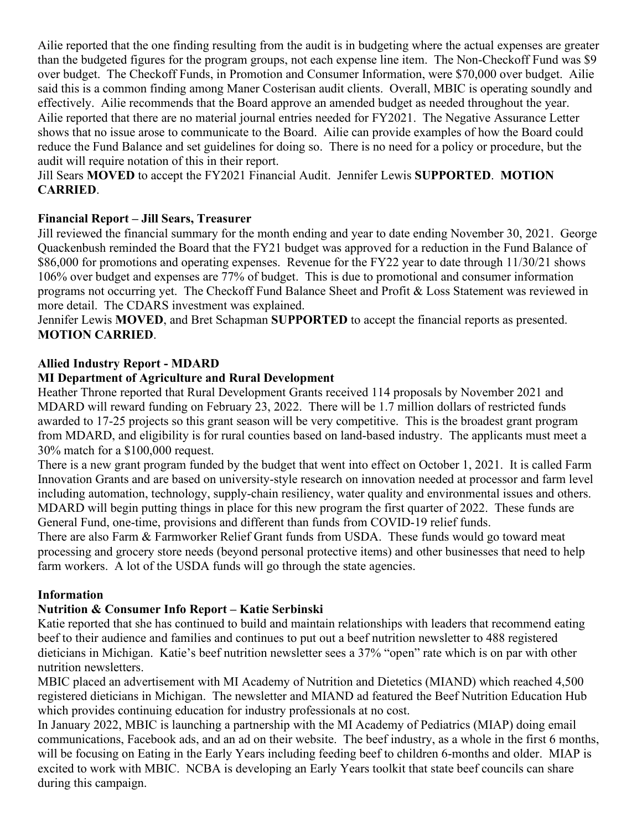Ailie reported that the one finding resulting from the audit is in budgeting where the actual expenses are greater than the budgeted figures for the program groups, not each expense line item. The Non-Checkoff Fund was \$9 over budget. The Checkoff Funds, in Promotion and Consumer Information, were \$70,000 over budget. Ailie said this is a common finding among Maner Costerisan audit clients. Overall, MBIC is operating soundly and effectively. Ailie recommends that the Board approve an amended budget as needed throughout the year. Ailie reported that there are no material journal entries needed for FY2021. The Negative Assurance Letter shows that no issue arose to communicate to the Board. Ailie can provide examples of how the Board could reduce the Fund Balance and set guidelines for doing so. There is no need for a policy or procedure, but the audit will require notation of this in their report.

Jill Sears **MOVED** to accept the FY2021 Financial Audit. Jennifer Lewis **SUPPORTED**. **MOTION CARRIED**.

## **Financial Report – Jill Sears, Treasurer**

Jill reviewed the financial summary for the month ending and year to date ending November 30, 2021. George Quackenbush reminded the Board that the FY21 budget was approved for a reduction in the Fund Balance of \$86,000 for promotions and operating expenses. Revenue for the FY22 year to date through 11/30/21 shows 106% over budget and expenses are 77% of budget. This is due to promotional and consumer information programs not occurring yet. The Checkoff Fund Balance Sheet and Profit & Loss Statement was reviewed in more detail. The CDARS investment was explained.

Jennifer Lewis **MOVED**, and Bret Schapman **SUPPORTED** to accept the financial reports as presented. **MOTION CARRIED**.

### **Allied Industry Report - MDARD**

### **MI Department of Agriculture and Rural Development**

Heather Throne reported that Rural Development Grants received 114 proposals by November 2021 and MDARD will reward funding on February 23, 2022. There will be 1.7 million dollars of restricted funds awarded to 17-25 projects so this grant season will be very competitive. This is the broadest grant program from MDARD, and eligibility is for rural counties based on land-based industry. The applicants must meet a 30% match for a \$100,000 request.

There is a new grant program funded by the budget that went into effect on October 1, 2021. It is called Farm Innovation Grants and are based on university-style research on innovation needed at processor and farm level including automation, technology, supply-chain resiliency, water quality and environmental issues and others. MDARD will begin putting things in place for this new program the first quarter of 2022. These funds are General Fund, one-time, provisions and different than funds from COVID-19 relief funds.

There are also Farm & Farmworker Relief Grant funds from USDA. These funds would go toward meat processing and grocery store needs (beyond personal protective items) and other businesses that need to help farm workers. A lot of the USDA funds will go through the state agencies.

### **Information**

## **Nutrition & Consumer Info Report – Katie Serbinski**

Katie reported that she has continued to build and maintain relationships with leaders that recommend eating beef to their audience and families and continues to put out a beef nutrition newsletter to 488 registered dieticians in Michigan. Katie's beef nutrition newsletter sees a 37% "open" rate which is on par with other nutrition newsletters.

MBIC placed an advertisement with MI Academy of Nutrition and Dietetics (MIAND) which reached 4,500 registered dieticians in Michigan. The newsletter and MIAND ad featured the Beef Nutrition Education Hub which provides continuing education for industry professionals at no cost.

In January 2022, MBIC is launching a partnership with the MI Academy of Pediatrics (MIAP) doing email communications, Facebook ads, and an ad on their website. The beef industry, as a whole in the first 6 months, will be focusing on Eating in the Early Years including feeding beef to children 6-months and older. MIAP is excited to work with MBIC. NCBA is developing an Early Years toolkit that state beef councils can share during this campaign.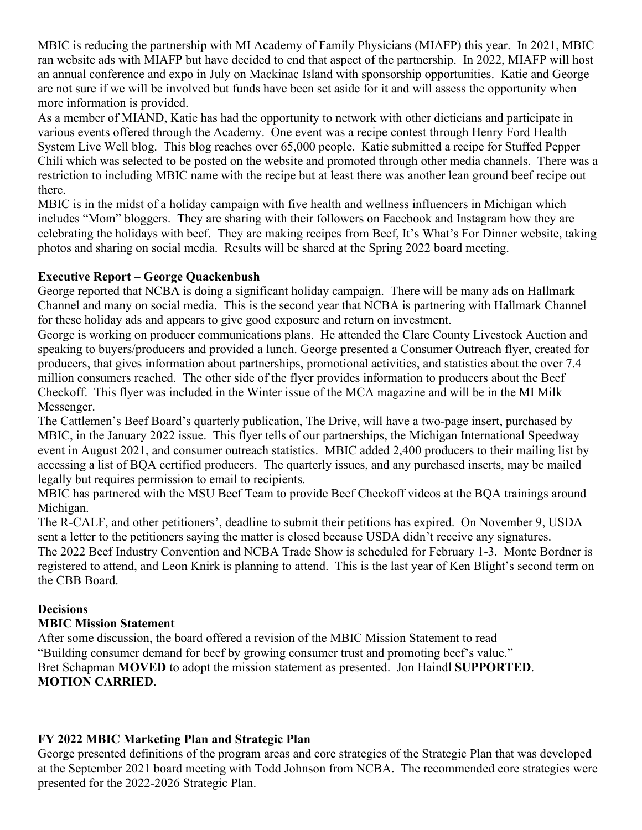MBIC is reducing the partnership with MI Academy of Family Physicians (MIAFP) this year. In 2021, MBIC ran website ads with MIAFP but have decided to end that aspect of the partnership. In 2022, MIAFP will host an annual conference and expo in July on Mackinac Island with sponsorship opportunities. Katie and George are not sure if we will be involved but funds have been set aside for it and will assess the opportunity when more information is provided.

As a member of MIAND, Katie has had the opportunity to network with other dieticians and participate in various events offered through the Academy. One event was a recipe contest through Henry Ford Health System Live Well blog. This blog reaches over 65,000 people. Katie submitted a recipe for Stuffed Pepper Chili which was selected to be posted on the website and promoted through other media channels. There was a restriction to including MBIC name with the recipe but at least there was another lean ground beef recipe out there.

MBIC is in the midst of a holiday campaign with five health and wellness influencers in Michigan which includes "Mom" bloggers. They are sharing with their followers on Facebook and Instagram how they are celebrating the holidays with beef. They are making recipes from Beef, It's What's For Dinner website, taking photos and sharing on social media. Results will be shared at the Spring 2022 board meeting.

## **Executive Report – George Quackenbush**

George reported that NCBA is doing a significant holiday campaign. There will be many ads on Hallmark Channel and many on social media. This is the second year that NCBA is partnering with Hallmark Channel for these holiday ads and appears to give good exposure and return on investment.

George is working on producer communications plans. He attended the Clare County Livestock Auction and speaking to buyers/producers and provided a lunch. George presented a Consumer Outreach flyer, created for producers, that gives information about partnerships, promotional activities, and statistics about the over 7.4 million consumers reached. The other side of the flyer provides information to producers about the Beef Checkoff. This flyer was included in the Winter issue of the MCA magazine and will be in the MI Milk Messenger.

The Cattlemen's Beef Board's quarterly publication, The Drive, will have a two-page insert, purchased by MBIC, in the January 2022 issue. This flyer tells of our partnerships, the Michigan International Speedway event in August 2021, and consumer outreach statistics. MBIC added 2,400 producers to their mailing list by accessing a list of BQA certified producers. The quarterly issues, and any purchased inserts, may be mailed legally but requires permission to email to recipients.

MBIC has partnered with the MSU Beef Team to provide Beef Checkoff videos at the BQA trainings around Michigan.

The R-CALF, and other petitioners', deadline to submit their petitions has expired. On November 9, USDA sent a letter to the petitioners saying the matter is closed because USDA didn't receive any signatures. The 2022 Beef Industry Convention and NCBA Trade Show is scheduled for February 1-3. Monte Bordner is registered to attend, and Leon Knirk is planning to attend. This is the last year of Ken Blight's second term on the CBB Board.

# **Decisions**

# **MBIC Mission Statement**

After some discussion, the board offered a revision of the MBIC Mission Statement to read "Building consumer demand for beef by growing consumer trust and promoting beef's value." Bret Schapman **MOVED** to adopt the mission statement as presented. Jon Haindl **SUPPORTED**. **MOTION CARRIED**.

# **FY 2022 MBIC Marketing Plan and Strategic Plan**

George presented definitions of the program areas and core strategies of the Strategic Plan that was developed at the September 2021 board meeting with Todd Johnson from NCBA. The recommended core strategies were presented for the 2022-2026 Strategic Plan.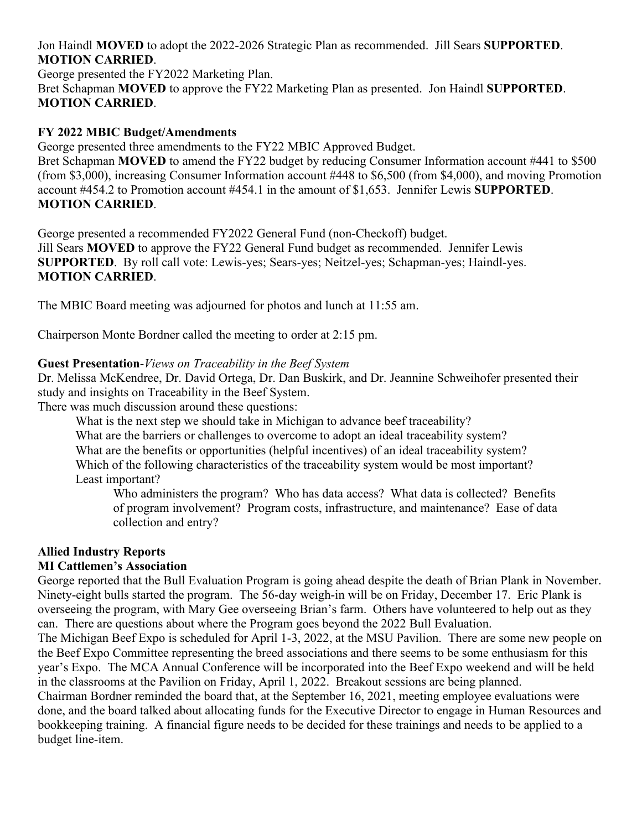Jon Haindl **MOVED** to adopt the 2022-2026 Strategic Plan as recommended. Jill Sears **SUPPORTED**. **MOTION CARRIED**.

George presented the FY2022 Marketing Plan. Bret Schapman **MOVED** to approve the FY22 Marketing Plan as presented. Jon Haindl **SUPPORTED**. **MOTION CARRIED**.

# **FY 2022 MBIC Budget/Amendments**

George presented three amendments to the FY22 MBIC Approved Budget.

Bret Schapman **MOVED** to amend the FY22 budget by reducing Consumer Information account #441 to \$500 (from \$3,000), increasing Consumer Information account #448 to \$6,500 (from \$4,000), and moving Promotion account #454.2 to Promotion account #454.1 in the amount of \$1,653. Jennifer Lewis **SUPPORTED**. **MOTION CARRIED**.

George presented a recommended FY2022 General Fund (non-Checkoff) budget. Jill Sears **MOVED** to approve the FY22 General Fund budget as recommended. Jennifer Lewis **SUPPORTED**. By roll call vote: Lewis-yes; Sears-yes; Neitzel-yes; Schapman-yes; Haindl-yes. **MOTION CARRIED**.

The MBIC Board meeting was adjourned for photos and lunch at 11:55 am.

Chairperson Monte Bordner called the meeting to order at 2:15 pm.

## **Guest Presentation**-*Views on Traceability in the Beef System*

Dr. Melissa McKendree, Dr. David Ortega, Dr. Dan Buskirk, and Dr. Jeannine Schweihofer presented their study and insights on Traceability in the Beef System.

There was much discussion around these questions:

What is the next step we should take in Michigan to advance beef traceability?

What are the barriers or challenges to overcome to adopt an ideal traceability system?

What are the benefits or opportunities (helpful incentives) of an ideal traceability system? Which of the following characteristics of the traceability system would be most important? Least important?

Who administers the program? Who has data access? What data is collected? Benefits of program involvement? Program costs, infrastructure, and maintenance? Ease of data collection and entry?

# **Allied Industry Reports**

# **MI Cattlemen's Association**

George reported that the Bull Evaluation Program is going ahead despite the death of Brian Plank in November. Ninety-eight bulls started the program. The 56-day weigh-in will be on Friday, December 17. Eric Plank is overseeing the program, with Mary Gee overseeing Brian's farm. Others have volunteered to help out as they can. There are questions about where the Program goes beyond the 2022 Bull Evaluation.

The Michigan Beef Expo is scheduled for April 1-3, 2022, at the MSU Pavilion. There are some new people on the Beef Expo Committee representing the breed associations and there seems to be some enthusiasm for this year's Expo. The MCA Annual Conference will be incorporated into the Beef Expo weekend and will be held in the classrooms at the Pavilion on Friday, April 1, 2022. Breakout sessions are being planned.

Chairman Bordner reminded the board that, at the September 16, 2021, meeting employee evaluations were done, and the board talked about allocating funds for the Executive Director to engage in Human Resources and bookkeeping training. A financial figure needs to be decided for these trainings and needs to be applied to a budget line-item.